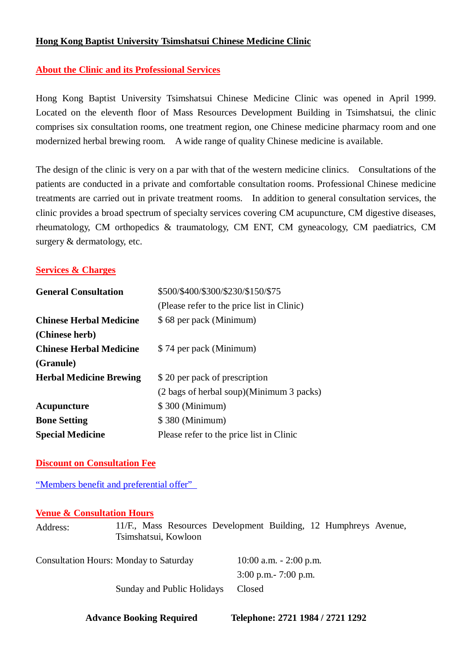# **Hong Kong Baptist University Tsimshatsui Chinese Medicine Clinic**

# **About the Clinic and its Professional Services**

Hong Kong Baptist University Tsimshatsui Chinese Medicine Clinic was opened in April 1999. Located on the eleventh floor of Mass Resources Development Building in Tsimshatsui, the clinic comprises six consultation rooms, one treatment region, one Chinese medicine pharmacy room and one modernized herbal brewing room. A wide range of quality Chinese medicine is available.

The design of the clinic is very on a par with that of the western medicine clinics. Consultations of the patients are conducted in a private and comfortable consultation rooms. Professional Chinese medicine treatments are carried out in private treatment rooms. In addition to general consultation services, the clinic provides a broad spectrum of specialty services covering CM acupuncture, CM digestive diseases, rheumatology, CM orthopedics & traumatology, CM ENT, CM gyneacology, CM paediatrics, CM surgery & dermatology, etc.

### **Services & Charges**

| <b>General Consultation</b>    | \$500/\$400/\$300/\$230/\$150/\$75         |  |
|--------------------------------|--------------------------------------------|--|
|                                | (Please refer to the price list in Clinic) |  |
| <b>Chinese Herbal Medicine</b> | \$68 per pack (Minimum)                    |  |
| (Chinese herb)                 |                                            |  |
| <b>Chinese Herbal Medicine</b> | \$74 per pack (Minimum)                    |  |
| (Granule)                      |                                            |  |
| <b>Herbal Medicine Brewing</b> | \$20 per pack of prescription              |  |
|                                | (2 bags of herbal soup)(Minimum 3 packs)   |  |
| Acupuncture                    | \$300 (Minimum)                            |  |
| <b>Bone Setting</b>            | \$380 (Minimum)                            |  |
| <b>Special Medicine</b>        | Please refer to the price list in Clinic   |  |

#### **Discount on Consultation Fee**

"Members benefit and preferential offer"

# **Venue & Consultation Hours**

| Address: | 11/F., Mass Resources Development Building, 12 Humphreys Avenue,<br>Tsimshatsui, Kowloon |                                                       |  |
|----------|------------------------------------------------------------------------------------------|-------------------------------------------------------|--|
|          | <b>Consultation Hours: Monday to Saturday</b>                                            | $10:00$ a.m. $-2:00$ p.m.<br>$3:00$ p.m. $-7:00$ p.m. |  |
|          | Sunday and Public Holidays                                                               | Closed                                                |  |

 **Advance Booking Required Telephone: 2721 1984 / 2721 1292**